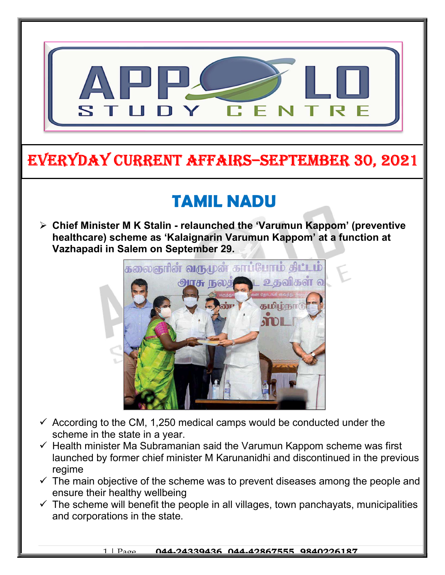

## EVERYDAY CURRENT AFFAIRS–SEPTEMBER 30, 2021

-

## TAMIL NADU

 $\triangleright$  Chief Minister M K Stalin - relaunched the 'Varumun Kappom' (preventive healthcare) scheme as 'Kalaignarin Varumun Kappom' at a function at Vazhapadi in Salem on September 29.



- $\checkmark$  According to the CM, 1,250 medical camps would be conducted under the scheme in the state in a year.
- $\checkmark$  Health minister Ma Subramanian said the Varumun Kappom scheme was first launched by former chief minister M Karunanidhi and discontinued in the previous regime
- $\checkmark$  The main objective of the scheme was to prevent diseases among the people and ensure their healthy wellbeing
- $\checkmark$  The scheme will benefit the people in all villages, town panchayats, municipalities and corporations in the state.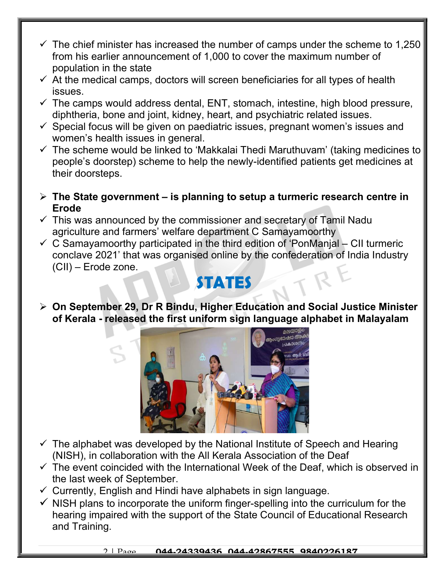- $\checkmark$  The chief minister has increased the number of camps under the scheme to 1,250 from his earlier announcement of 1,000 to cover the maximum number of population in the state
- $\checkmark$  At the medical camps, doctors will screen beneficiaries for all types of health issues.
- $\checkmark$  The camps would address dental, ENT, stomach, intestine, high blood pressure, diphtheria, bone and joint, kidney, heart, and psychiatric related issues.
- $\checkmark$  Special focus will be given on paediatric issues, pregnant women's issues and women's health issues in general.
- $\checkmark$  The scheme would be linked to 'Makkalai Thedi Maruthuvam' (taking medicines to people's doorstep) scheme to help the newly-identified patients get medicines at their doorsteps.
- $\triangleright$  The State government is planning to setup a turmeric research centre in Erode
- $\checkmark$  This was announced by the commissioner and secretary of Tamil Nadu agriculture and farmers' welfare department C Samayamoorthy
- $\checkmark$  C Samayamoorthy participated in the third edition of 'PonManjal CII turmeric conclave 2021' that was organised online by the confederation of India Industry (CII) – Erode zone.

## STATES

 On September 29, Dr R Bindu, Higher Education and Social Justice Minister of Kerala - released the first uniform sign language alphabet in Malayalam



- $\checkmark$  The alphabet was developed by the National Institute of Speech and Hearing (NISH), in collaboration with the All Kerala Association of the Deaf
- $\checkmark$  The event coincided with the International Week of the Deaf, which is observed in the last week of September.
- $\checkmark$  Currently, English and Hindi have alphabets in sign language.
- $\checkmark$  NISH plans to incorporate the uniform finger-spelling into the curriculum for the hearing impaired with the support of the State Council of Educational Research and Training.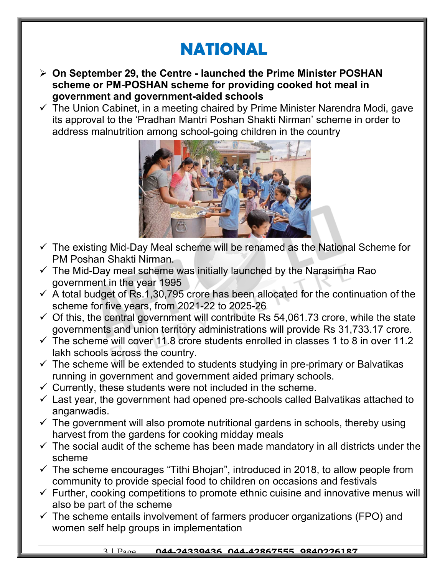# NATIONAL

- On September 29, the Centre launched the Prime Minister POSHAN scheme or PM-POSHAN scheme for providing cooked hot meal in government and government-aided schools
- $\checkmark$  The Union Cabinet, in a meeting chaired by Prime Minister Narendra Modi, gave its approval to the 'Pradhan Mantri Poshan Shakti Nirman' scheme in order to address malnutrition among school-going children in the country



- $\checkmark$  The existing Mid-Day Meal scheme will be renamed as the National Scheme for PM Poshan Shakti Nirman.
- $\checkmark$  The Mid-Day meal scheme was initially launched by the Narasimha Rao government in the year 1995
- $\checkmark$  A total budget of Rs.1,30,795 crore has been allocated for the continuation of the scheme for five years, from 2021-22 to 2025-26
- $\checkmark$  Of this, the central government will contribute Rs 54,061.73 crore, while the state governments and union territory administrations will provide Rs 31,733.17 crore.
- $\checkmark$  The scheme will cover 11.8 crore students enrolled in classes 1 to 8 in over 11.2 lakh schools across the country.
- $\checkmark$  The scheme will be extended to students studying in pre-primary or Balvatikas running in government and government aided primary schools.
- $\checkmark$  Currently, these students were not included in the scheme.
- $\checkmark$  Last year, the government had opened pre-schools called Balvatikas attached to anganwadis.
- $\checkmark$  The government will also promote nutritional gardens in schools, thereby using harvest from the gardens for cooking midday meals
- $\checkmark$  The social audit of the scheme has been made mandatory in all districts under the scheme
- $\checkmark$  The scheme encourages "Tithi Bhojan", introduced in 2018, to allow people from community to provide special food to children on occasions and festivals
- $\checkmark$  Further, cooking competitions to promote ethnic cuisine and innovative menus will also be part of the scheme
- $\checkmark$  The scheme entails involvement of farmers producer organizations (FPO) and women self help groups in implementation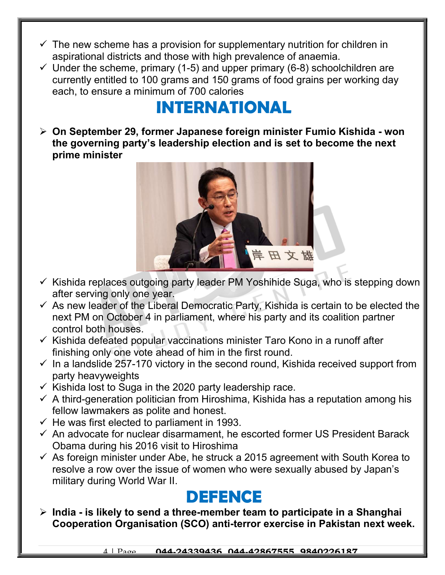- $\checkmark$  The new scheme has a provision for supplementary nutrition for children in aspirational districts and those with high prevalence of anaemia.
- $\checkmark$  Under the scheme, primary (1-5) and upper primary (6-8) schoolchildren are currently entitled to 100 grams and 150 grams of food grains per working day each, to ensure a minimum of 700 calories

# INTERNATIONAL

 On September 29, former Japanese foreign minister Fumio Kishida - won the governing party's leadership election and is set to become the next prime minister



- $\checkmark$  Kishida replaces outgoing party leader PM Yoshihide Suga, who is stepping down after serving only one year.
- $\checkmark$  As new leader of the Liberal Democratic Party, Kishida is certain to be elected the next PM on October 4 in parliament, where his party and its coalition partner control both houses.
- $\checkmark$  Kishida defeated popular vaccinations minister Taro Kono in a runoff after finishing only one vote ahead of him in the first round.
- $\checkmark$  In a landslide 257-170 victory in the second round, Kishida received support from party heavyweights
- $\times$  Kishida lost to Suga in the 2020 party leadership race.
- $\checkmark$  A third-generation politician from Hiroshima, Kishida has a reputation among his fellow lawmakers as polite and honest.
- $\checkmark$  He was first elected to parliament in 1993.
- $\checkmark$  An advocate for nuclear disarmament, he escorted former US President Barack Obama during his 2016 visit to Hiroshima
- $\checkmark$  As foreign minister under Abe, he struck a 2015 agreement with South Korea to resolve a row over the issue of women who were sexually abused by Japan's military during World War II.

## DEFENCE

 $\triangleright$  India - is likely to send a three-member team to participate in a Shanghai Cooperation Organisation (SCO) anti-terror exercise in Pakistan next week.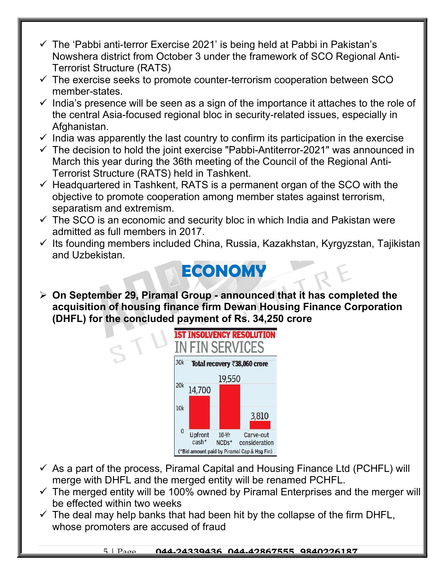- $\checkmark$  The 'Pabbi anti-terror Exercise 2021' is being held at Pabbi in Pakistan's Nowshera district from October 3 under the framework of SCO Regional Anti-Terrorist Structure (RATS)
- $\checkmark$  The exercise seeks to promote counter-terrorism cooperation between SCO member-states.
- $\checkmark$  India's presence will be seen as a sign of the importance it attaches to the role of the central Asia-focused regional bloc in security-related issues, especially in Afghanistan.
- $\checkmark$  India was apparently the last country to confirm its participation in the exercise
- $\checkmark$  The decision to hold the joint exercise "Pabbi-Antiterror-2021" was announced in March this year during the 36th meeting of the Council of the Regional Anti-Terrorist Structure (RATS) held in Tashkent.
- $\checkmark$  Headquartered in Tashkent, RATS is a permanent organ of the SCO with the objective to promote cooperation among member states against terrorism, separatism and extremism.
- $\checkmark$  The SCO is an economic and security bloc in which India and Pakistan were admitted as full members in 2017.
- $\checkmark$  Its founding members included China, Russia, Kazakhstan, Kyrgyzstan, Tajikistan and Uzbekistan.

## **ECONOMY**

 $\geq$  On September 29, Piramal Group - announced that it has completed the acquisition of housing finance firm Dewan Housing Finance Corporation (DHFL) for the concluded payment of Rs. 34,250 crore



- $\checkmark$  As a part of the process, Piramal Capital and Housing Finance Ltd (PCHFL) will merge with DHFL and the merged entity will be renamed PCHFL.
- $\checkmark$  The merged entity will be 100% owned by Piramal Enterprises and the merger will be effected within two weeks
- $\checkmark$  The deal may help banks that had been hit by the collapse of the firm DHFL, whose promoters are accused of fraud

#### 5 | Page 044-24339436, 044-42867555, 9840226187